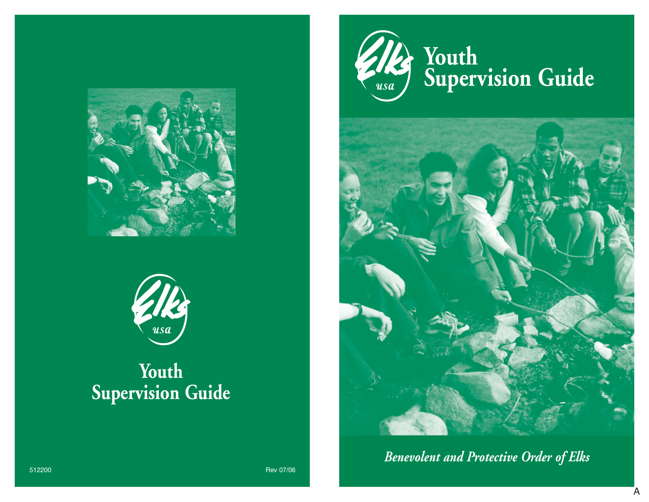



# **Youth Supervision Guide**





*Benevolent and Protective Order of Elks*

512200 Rev 07/06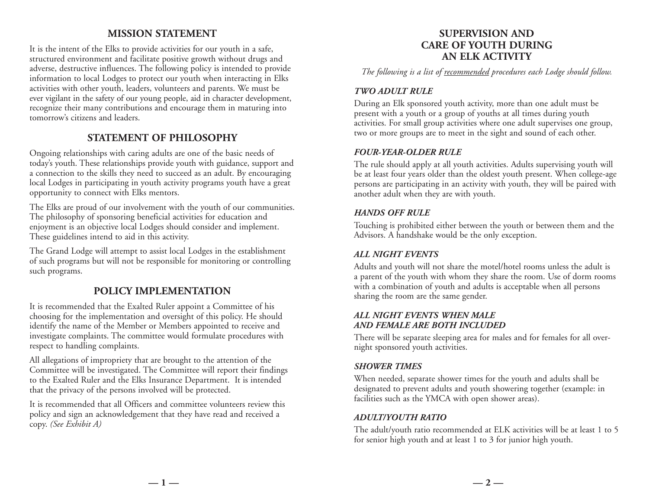# **MISSION STATEMENT**

It is the intent of the Elks to provide activities for our youth in a safe, structured environment and facilitate positive growth without drugs and adverse, destructive influences. The following policy is intended to provide information to local Lodges to protect our youth when interacting in Elks activities with other youth, leaders, volunteers and parents. We must be ever vigilant in the safety of our young people, aid in character development, recognize their many contributions and encourage them in maturing into tomorrow's citizens and leaders.

# **STATEMENT OF PHILOSOPHY**

Ongoing relationships with caring adults are one of the basic needs of today's youth. These relationships provide youth with guidance, support and a connection to the skills they need to succeed as an adult. By encouraging local Lodges in participating in youth activity programs youth have a great opportunity to connect with Elks mentors.

The Elks are proud of our involvement with the youth of our communities. The philosophy of sponsoring beneficial activities for education and enjoyment is an objective local Lodges should consider and implement. These guidelines intend to aid in this activity.

The Grand Lodge will attempt to assist local Lodges in the establishment of such programs but will not be responsible for monitoring or controlling such programs.

# **POLICY IMPLEMENTATION**

It is recommended that the Exalted Ruler appoint a Committee of his choosing for the implementation and oversight of this policy. He should identify the name of the Member or Members appointed to receive and investigate complaints. The committee would formulate procedures with respect to handling complaints.

All allegations of impropriety that are brought to the attention of the Committee will be investigated. The Committee will report their findings to the Exalted Ruler and the Elks Insurance Department. It is intended that the privacy of the persons involved will be protected.

It is recommended that all Officers and committee volunteers review this policy and sign an acknowledgement that they have read and received a copy. *(See Exhibit A)*

# **SUPERVISION AND CARE OF YOUTH DURING AN ELK ACTIVITY**

*The following is a list of recommended procedures each Lodge should follow.*

## *TWO ADULT RULE*

During an Elk sponsored youth activity, more than one adult must be present with a youth or a group of youths at all times during youth activities. For small group activities where one adult supervises one group, two or more groups are to meet in the sight and sound of each other.

#### *FOUR-YEAR-OLDER RULE*

The rule should apply at all youth activities. Adults supervising youth will be at least four years older than the oldest youth present. When college-age persons are participating in an activity with youth, they will be paired with another adult when they are with youth.

#### *HANDS OFF RULE*

Touching is prohibited either between the youth or between them and the Advisors. A handshake would be the only exception.

## *ALL NIGHT EVENTS*

Adults and youth will not share the motel/hotel rooms unless the adult is a parent of the youth with whom they share the room. Use of dorm rooms with a combination of youth and adults is acceptable when all persons sharing the room are the same gender.

#### *ALL NIGHT EVENTS WHEN MALE AND FEMALE ARE BOTH INCLUDED*

There will be separate sleeping area for males and for females for all overnight sponsored youth activities.

## *SHOWER TIMES*

When needed, separate shower times for the youth and adults shall be designated to prevent adults and youth showering together (example: in facilities such as the YMCA with open shower areas).

## *ADULT/YOUTH RATIO*

The adult/youth ratio recommended at ELK activities will be at least 1 to 5 for senior high youth and at least 1 to 3 for junior high youth.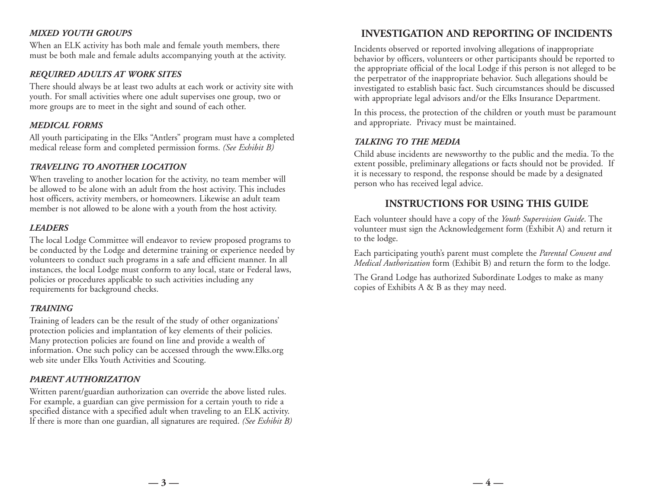## *MIXED YOUTH GROUPS*

When an ELK activity has both male and female youth members, there must be both male and female adults accompanying youth at the activity.

## *REQUIRED ADULTS AT WORK SITES*

There should always be at least two adults at each work or activity site with youth. For small activities where one adult supervises one group, two or more groups are to meet in the sight and sound of each other.

## *MEDICAL FORMS*

All youth participating in the Elks "Antlers" program must have a completed medical release form and completed permission forms. *(See Exhibit B)*

## *TRAVELING TO ANOTHER LOCATION*

When traveling to another location for the activity, no team member will be allowed to be alone with an adult from the host activity. This includes host officers, activity members, or homeowners. Likewise an adult team member is not allowed to be alone with a youth from the host activity.

## *LEADERS*

The local Lodge Committee will endeavor to review proposed programs to be conducted by the Lodge and determine training or experience needed by volunteers to conduct such programs in a safe and efficient manner. In all instances, the local Lodge must conform to any local, state or Federal laws, policies or procedures applicable to such activities including any requirements for background checks.

#### *TRAINING*

Training of leaders can be the result of the study of other organizations' protection policies and implantation of key elements of their policies. Many protection policies are found on line and provide a wealth of information. One such policy can be accessed through the www.Elks.org web site under Elks Youth Activities and Scouting.

## *PARENT AUTHORIZATION*

Written parent/guardian authorization can override the above listed rules. For example, a guardian can give permission for a certain youth to ride a specified distance with a specified adult when traveling to an ELK activity. If there is more than one guardian, all signatures are required. *(See Exhibit B)*

# **INVESTIGATION AND REPORTING OF INCIDENTS**

Incidents observed or reported involving allegations of inappropriate behavior by officers, volunteers or other participants should be reported to the appropriate official of the local Lodge if this person is not alleged to be the perpetrator of the inappropriate behavior. Such allegations should be investigated to establish basic fact. Such circumstances should be discussed with appropriate legal advisors and/or the Elks Insurance Department.

In this process, the protection of the children or youth must be paramount and appropriate. Privacy must be maintained.

#### *TALKING TO THE MEDIA*

Child abuse incidents are newsworthy to the public and the media. To the extent possible, preliminary allegations or facts should not be provided. If it is necessary to respond, the response should be made by a designated person who has received legal advice.

# **INSTRUCTIONS FOR USING THIS GUIDE**

Each volunteer should have a copy of the *Youth Supervision Guide*. The volunteer must sign the Acknowledgement form (Exhibit A) and return it to the lodge.

Each participating youth's parent must complete the *Parental Consent and Medical Authorization* form (Exhibit B) and return the form to the lodge.

The Grand Lodge has authorized Subordinate Lodges to make as many copies of Exhibits A & B as they may need.